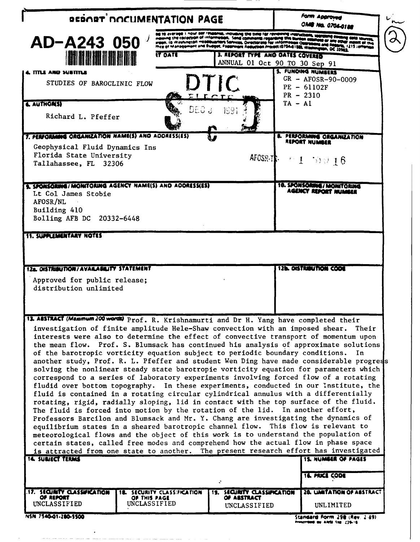| <b>PERORT DOCUMENTATION PAGE</b>                                                                                                                                      |                                                                    | Form Approved<br>OMB No. 0704-0188                                                                                                                                                                                                                              |                                                                                                                                                                                                                                                                                                                                                                                                                                                                                                                                                                                                                                                                                                                                                                                                                                                                                                                   |
|-----------------------------------------------------------------------------------------------------------------------------------------------------------------------|--------------------------------------------------------------------|-----------------------------------------------------------------------------------------------------------------------------------------------------------------------------------------------------------------------------------------------------------------|-------------------------------------------------------------------------------------------------------------------------------------------------------------------------------------------------------------------------------------------------------------------------------------------------------------------------------------------------------------------------------------------------------------------------------------------------------------------------------------------------------------------------------------------------------------------------------------------------------------------------------------------------------------------------------------------------------------------------------------------------------------------------------------------------------------------------------------------------------------------------------------------------------------------|
| $AD - A243050$<br><u> Han a shekara</u>                                                                                                                               | <b>IT DATE</b>                                                     | ad to average I now per researce, including the time for reviewing instructions, seat<br>inggin, to was imputed and Budget, Paggringer Reduction Project (07044188), Washington, OC 20141.<br>3. REPORT TYPE AND DATES COVERED<br>ANNUAL 01 Oct 90 TO 30 Sep 91 | ag to average increased information. Send comments reserving the burden estimate or any other seast of the<br>Ingen, to Washington Haddelsmark Services, Oirectorate for information Operations or any other seast of this<br>Ingen,                                                                                                                                                                                                                                                                                                                                                                                                                                                                                                                                                                                                                                                                              |
| 4. ITTLE AND SUBTITLE<br>STUDIES OF BAROCLINIC FLOW                                                                                                                   |                                                                    | DTIC                                                                                                                                                                                                                                                            | <b>5. FUNDING NUMBERS</b><br>$GR - AFOSR - 90 - 0009$<br>$PE - 61102F$<br>$PR - 2310$                                                                                                                                                                                                                                                                                                                                                                                                                                                                                                                                                                                                                                                                                                                                                                                                                             |
| <b>&amp; AUTHORSS</b><br>Richard L. Pfeffer                                                                                                                           | DEC 3                                                              | 1991                                                                                                                                                                                                                                                            | $TA - AI$                                                                                                                                                                                                                                                                                                                                                                                                                                                                                                                                                                                                                                                                                                                                                                                                                                                                                                         |
| T. PERFORMING ORGANIZATION NAME(S) AND ADDRESS(ES)                                                                                                                    |                                                                    |                                                                                                                                                                                                                                                                 | <b>8. PERFORMING ORGANIZATION</b><br>REPORT NUMBER                                                                                                                                                                                                                                                                                                                                                                                                                                                                                                                                                                                                                                                                                                                                                                                                                                                                |
| Geophysical Fluid Dynamics Ins<br>Florida State University<br>Tallahassee, FL 32306                                                                                   |                                                                    |                                                                                                                                                                                                                                                                 | AFOSR-TR- $\sim 1$ 00016                                                                                                                                                                                                                                                                                                                                                                                                                                                                                                                                                                                                                                                                                                                                                                                                                                                                                          |
| 1. SPONSORING/MONITORING AGENCY NAME(S) AND ADDRESSES)<br>Lt Col James Stobie<br>AFOSR/NL<br>Building 410<br>Bolling AFB DC 20332-6448                                |                                                                    |                                                                                                                                                                                                                                                                 | 10. SPONSORING/MONITORING<br>AGENCY REPORT NUMBER                                                                                                                                                                                                                                                                                                                                                                                                                                                                                                                                                                                                                                                                                                                                                                                                                                                                 |
| distribution unlimited                                                                                                                                                |                                                                    |                                                                                                                                                                                                                                                                 |                                                                                                                                                                                                                                                                                                                                                                                                                                                                                                                                                                                                                                                                                                                                                                                                                                                                                                                   |
| 13. ASSTRACT (Maximum 200 words) Prof. R. Krishnamurti and Dr H. Yang have completed their                                                                            |                                                                    |                                                                                                                                                                                                                                                                 | investigation of finite amplitude Hele-Shaw convection with an imposed shear. Their                                                                                                                                                                                                                                                                                                                                                                                                                                                                                                                                                                                                                                                                                                                                                                                                                               |
| interests were also to determine the effect of convective transport of momentum upon<br>of the barotropic vorticity equation subject to periodic boundary conditions. |                                                                    |                                                                                                                                                                                                                                                                 | the mean flow. Prof. S. Blumsack has continued his analysis of approximate solutions<br>In.<br>another study, Prof. R. L. Pfeffer and student Wen Ding have made considerable progress<br>solving the nonlinear steady state barotropic vorticity equation for parameters which<br>correspond to a series of laboratory experiments involving forced flow of a rotating<br>fludid over bottom topography. In these experiments, conducted in our Institute, the<br>fluid is contained in a rotating circular cylindrical annulus with a differentially<br>rotating, rigid, radially sloping, lid in contact with the top surface of the fluid.<br>Professors Barcilon and Blumsack and Mr. Y. Chang are investigating the dynamics of<br>equilibrium states in a sheared barotropic channel flow. This flow is relevant to<br>meteorological flows and the object of this work is to understand the population of |
| The fluid is forced into motion by the rotation of the lid. In another effort,                                                                                        |                                                                    |                                                                                                                                                                                                                                                                 | certain states, called free modes and comprehend how the actual flow in phase space<br>is attracted from one state to another. The present research effort has investigated                                                                                                                                                                                                                                                                                                                                                                                                                                                                                                                                                                                                                                                                                                                                       |
|                                                                                                                                                                       |                                                                    |                                                                                                                                                                                                                                                                 | <b>15. NUMBER OF PAGES</b>                                                                                                                                                                                                                                                                                                                                                                                                                                                                                                                                                                                                                                                                                                                                                                                                                                                                                        |
| <b>14. SUBJECT TERMS</b><br>17. SECURITY CLASSIFICATION<br>OF REPORT<br>UNCLASSIFIED                                                                                  | <b>18. SECURITY CLASSIFICATION</b><br>OF THIS PAGE<br>UNCLASSIFIED | ÷<br>19. SECURITY CLASSIFICATION<br>OF ASSTRACT<br>UNCLASSIFIED                                                                                                                                                                                                 | <b>16. PRICE CODE</b><br><b>20. UMITATION OF ASSTRACT</b><br>UNLIMITED                                                                                                                                                                                                                                                                                                                                                                                                                                                                                                                                                                                                                                                                                                                                                                                                                                            |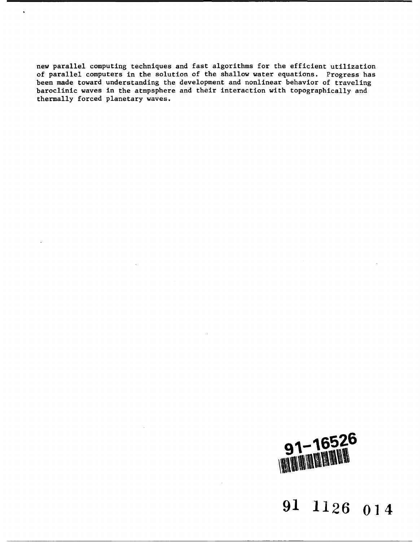new parallel computing techniques and fast algorithms for the efficient utilization of parallel computers in the solution of the shallow water equations. Progress has been made toward understanding the development and nonlinear behavior of traveling baroclinic waves in the atmpsphere and their interaction with topographically and thermally forced planetary waves.



**91 1126 014**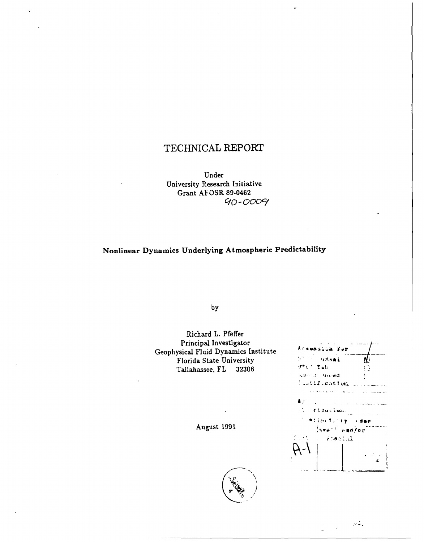# TECHNICAL REPORT

Under University Research Initiative Grant AFOSR 89-0462  $90 - 0009$ 

Nonlinear Dynamics Underlying Atmospheric Predictability

by

Richard L. Pfeffer Principal Investigator Geophysical Fluid Dynamics Institute Florida State University Tallahassee, FL 32306

August 1991



GRaai Æ **OPEN Tab** Đ *kanca* crived Puscification لأرتب لوالا المرتب  $\bullet$ .  $\sim$   $^{\prime}$ rioucles.  $\bullet$ ់ងទអ id/or Freeial

 $\sqrt{2}$  .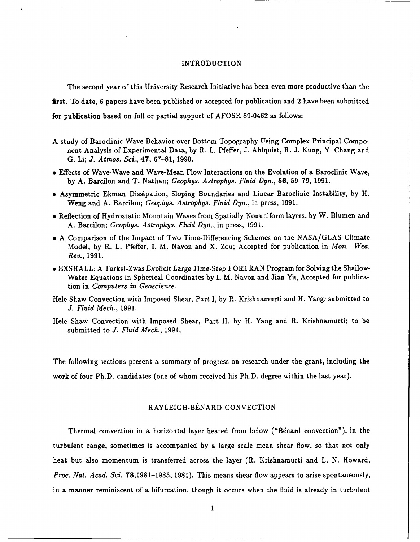#### INTRODUCTION

The second year of this University Research Initiative has been even more productive than the first. To date, **6** papers have been published or accepted for publication and 2 have been submitted for publication based on full or partial support of AFOSR **89-0462** as follows:

- A study of Baroclinic Wave Behavior over Bottom Topography Using Complex Principal Component Analysis of Experimental Data, by R. L. Pfeffer, **J.** Ahlquist, R. **J.** Kung, Y. Chang and G. Li; *J. Atmos. Sci.,* 47, 67-81, 1990.
- **"** Effects of Wave-Wave and Wave-Mean Flow Interactions on the Evolution of a Baroclinic Wave, by A. Barcilon and T. Nathan; *Geophys. Astrophys. Fluid Dyn.,* **56,** 59-79, 1991.
- **"** Asymmetric Ekman Dissipation, Sloping Boundaries and Linear Baroclinic Instability, by H. Weng and A. Barcilon; *Geophys. Astrophys. Fluid Dyn.,* in press, 1991.
- **"** Reflection of Hydrostatic Mountain Waves from Spatially Nonuniform layers, by W. Blumen and A. Barcilon; *Geophys. Astrophys. Fluid Dyn.,* in press, 1991.
- **"** A Comparison of the Impact of Two Time-Differencing Schemes on the NASA/GLAS Climate Model, by R. L. Pfeffer, I. M. Navon and X. Zou; Accepted for publication in *Mon. Wea. Rev.,* 1991.
- **" EXSHALL:** A Turkel-Zwas Explicit Large Time-Step FORTRAN Program for Solving the Shallow-Water Equations in Spherical Coordinates by I. M. Navon and Jian Yu, Accepted for publication in *Computers in Geoscience.*
- Hele Shaw Convection with Imposed Shear, Part I, by R. Krishnamurti and H. Yang; submitted to *J. Fluid Mech.,* 1991.
- Hele Shaw Convection with Imposed Shear, Part II, by H. Yang and R. Krishnamurti; to be submitted to *J. Fluid Mech.,* 1991.

The following sections present a summary of progress on research under the grant, including the work of four Ph.D. candidates (one of whom received his Ph.D. degree within the last year).

## RAYLEIGH-BENARD CONVECTION

Thermal convection in a horizontal layer heated from below ("Benard convection"), in the turbulent range, sometimes is accompanied by a large scale mean shear flow, so that not only heat but also momentum is transferred across the layer (R. Krishnamurti and L. N. Howard, *Proc.* Nat. *Acad. Sci.* 78,1981-1985, 1981). This means shear flow appears to arise spontaneously, in a manner reminiscent of a bifurcation, though it occurs when the fluid is already in turbulent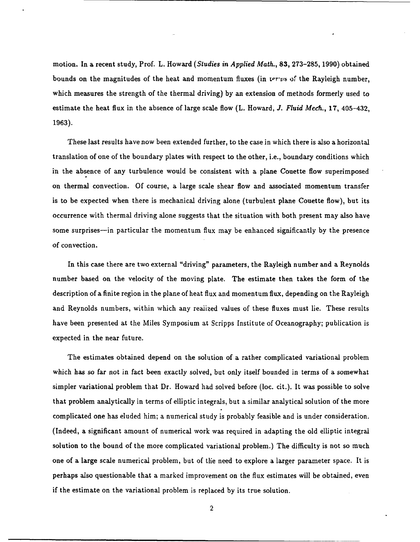motion. In a recent study, Prof. L. Howard (Studies in *Applied Math.,* **83, 273-285, 1990)** obtained bounds on the magnitudes of the heat and momentum fluxes (in vertus of the Rayleigh number, which measures the strength of the thermal driving) **by** an extension of methods formerly used to estimate the heat flux in the absence of large scale flow (L. Howard, *J. Fluid Mech.,* **17,** 405-432, **1963).**

These last results have now been extended further, to the case in which there is also a horizontal translation of one of the boundary plates with respect to the other, i.e., boundary conditions which **in** the absence of any turbulence would be consistent with a plane Couette flow superimposed on thermal convection. **Of** course, a large scale shear flow and associated momentum transfer is to be expected when there is mechanical driving alone (turbulent plane Couette flow), but its occurrence with thermal driving alone suggests that the situation with both present may also have some surprises-in particular the momentum flux may be enhanced significantly **by** the presence of convection.

In this case there are two external "driving" parameters, the Rayleigh number and a Reynolds number based on the velocity of the moving plate. The estimate then takes the form of the description of a finite region in the plane of heat flux and momentum flux, depending on the Rayleigh and Reynolds numbers, within which any realized values of these fluxes must lie. These results have been presented at the Miles Symposium at Scripps Institute of Oceanography; publication is expected in the near future.

The estimates obtained depend on the solution of a rather complicated variational problem which has so far not in fact been exactly solved, but only itself bounded in terms of a somewhat simpler variational problem that Dr. Howard had solved before (loc. cit.). It was possible to solve that problem analytically in terms of elliptic integrals, but a similar analytical solution of the more complicated one has eluded him; a numerical study is probably feasible and is under consideration. (Indeed, a significant amount of numerical work was required in adapting the old elliptic integral solution to the bound of the more complicated variational problem.) The difficulty is not so much one of a large scale numerical problem, but of the need to explore a larger parameter space. It is perhaps also questionable that a marked improvement on the flux estimates will be obtained, even if the estimate on the variational problem is replaced by its true solution.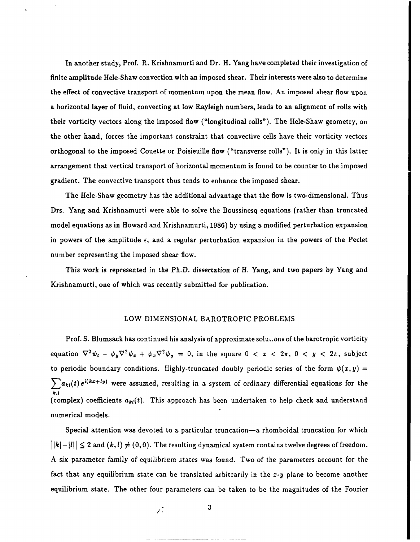In another study, Prof. R. Krishnamurti and Dr. H. Yang have completed their investigation of finite amplitude Hele-Shaw convection with an imposed shear. Their interests were also to determine the effect of convective transport of momentum upon the mean flow. An imposed shear flow upon a horizontal layer of fluid, convecting at low Rayleigh numbers, leads to an alignment of rolls with their vorticity vectors along the imposed flow ("longitudinal rolls"). The Hele-Shaw geometry, on the other hand, forces the important constraint that convective cells have their vorticity vectors orthogonal to the imposed Couette or Poisieuille flow ("transverse rolls"). It is only in this latter arrangement that vertical transport of horizontal momentum is found to be counter to the imposed gradient. The convective transport thus tends to enhance the imposed shear.

The Hele-Shaw geometry has the additional advantage that the flow is two-dimensional. Thus Drs. Yang and Krishnamurti were able to solve the Boussinesq equations (rather than truncated model equations as in Howard and Krishnamurti, **1986)** by using a modified perturbation expansion in powers of the amplitude **c,** and a regular perturbation expansion in the powers of the Peclet number representing the imposed shear flow.

This work is represented in the Ph.D. dissertation *of* H. Yang, and two papers by Yang and Krishnamurti, one of which was recently submitted for publication.

#### LOW DIMENSIONAL BAROTROPIC PROBLEMS

Prof. **S.** Blumsack has continued his analysis of approximate solu,.ons of the barotropic vorticity equation  $\nabla^2 \psi_t - \psi_y \nabla^2 \psi_x + \psi_x \nabla^2 \psi_y = 0$ , in the square  $0 < x < 2\pi$ ,  $0 < y < 2\pi$ , subject to periodic boundary conditions. Highly-truncated doubly periodic series of the form  $\psi(x, y) =$  $\sum_{k,l} a_{kl}(t) e^{i(kx + l y)}$  were assumed, resulting in a system of ordinary differential equations for the (complex) coefficients  $a_{kl}(t)$ . This approach has been undertaken to help check and understand numerical models.

Special attention was devoted to a particular truncation-a rhomboidal truncation for which  $\vert k\vert - \vert l\vert \leq 2$  and  $(k, l) \neq (0, 0)$ . The resulting dynamical system contains twelve degrees of freedom. A six parameter family of equilibrium states was found. Two of the parameters account for the fact that any equilibrium state can be translated arbitrarily in the  $x-y$  plane to become another equilibrium state. The other four parameters can be taken to be the magnitudes of the Fourier

**/. 3**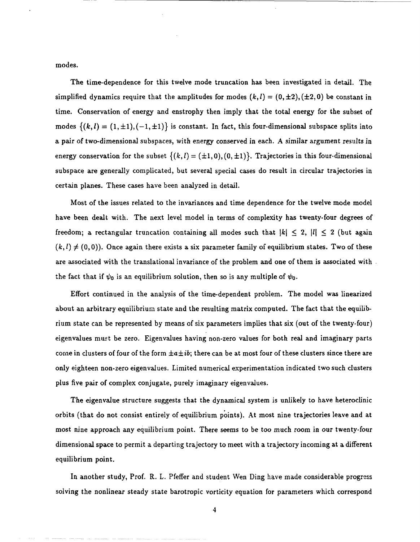modes.

The time-dependence for this twelve mode truncation has been investigated in detail. The simplified dynamics require that the amplitudes for modes  $(k, l) = (0, \pm 2), (\pm 2, 0)$  be constant in time. Conservation of energy and enstrophy then imply that the total energy for the subset of modes  ${(k, l) = (1, \pm 1), (-1, \pm 1)}$  is constant. In fact, this four-dimensional subspace splits into a pair of two-dimensional subspaces, with energy conserved in each. **A** similar argument results in energy conservation for the subset  $\{(k, l) = (\pm 1, 0), (0, \pm 1)\}$ . Trajectories in this four-dimensional subspace are generally complicated, but several special cases do result in circular trajectories in certain planes. These cases have been analyzed in detail.

Most of the issues related to the invariances and time dependence for the twelve mode model have been dealt with. The next level model in terms of complexity has twenty-four degrees of freedom; a rectangular truncation containing all modes such that  $|k| \le 2$ ,  $|l| \le 2$  (but again  $(k, l) \neq (0, 0)$ . Once again there exists a six parameter family of equilibrium states. Two of these are associated with the translational invariance of the problem and one of them is associated with the fact that if  $\psi_0$  is an equilibrium solution, then so is any multiple of  $\psi_0$ .

Effort continued in the analysis of the time-dependent problem. The model was linearized about an arbitrary equilibrium state and the resulting matrix computed. The fact that the equilibrium state can be represented **by** means of six parameters implies that six (out of the twenty-four) eigenvalues must be zero. Eigenvalues having non-zero values for both real and imaginary parts come in clusters of four of the form  $\pm a\pm ib$ ; there can be at most four of these clusters since there are only eighteen non-zero eigenvalues. Limited numerical experimentation indicated two such clusters plus five pair of complex conjugate, purely imaginary eigenvalues.

The eigenvalue structure suggests that the dynamical system is unlikely to have heteroclinic orbits (that do not consist entirely of equilibrium points). At most nine trajectories leave and at most nine approach any equilibrium point. There seems to be too much room in our twenty-four dimensional space to permit a departing trajectory to meet with a trajectory incoming at a different equilibrium point.

In another study, Prof. R. L. Pfeffer and student Wen Ding have made considerable progress solving the nonlinear steady state barotropic vorticity equation for parameters which correspond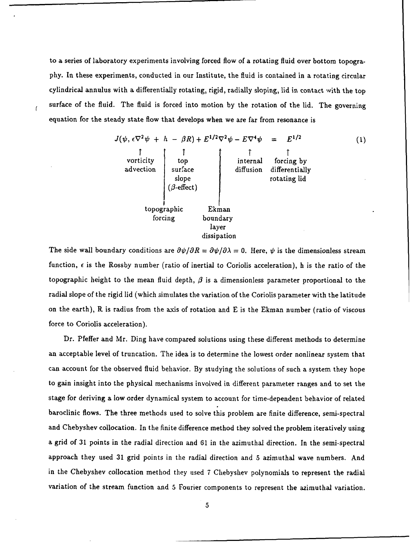to a series of laboratory experiments involving forced flow of a rotating fluid over bottom topography. In these experiments, conducted in our Institute, the fluid is contained in a rotating circular cylindrical annulus with a differentially rotating, rigid, radially sloping, lid in contact with the top surface of the fluid. The fluid is forced into motion by the rotation of the lid. The governing equation for the steady state flow that develops when we are far from resonance is

 $\sqrt{ }$ 

$$
J(\psi, \epsilon \nabla^2 \psi + h - \beta R) + E^{1/2} \nabla^2 \psi - E \nabla^4 \psi = E^{1/2}
$$
 (1)  
\n
$$
\begin{array}{c}\n\uparrow & \uparrow & \uparrow & \uparrow \\
\text{vorticity} & \text{top} & \uparrow & \uparrow \\
\text{surface} & \text{surface} & \text{diffusion} & \text{differentially} \\
\downarrow & \text{slope} & \text{rotating lid} \\
(\beta \text{-effect}) & \downarrow \\
\text{topographic} & \text{Ekman} & \text{forcing} & \text{boundary} \\
\downarrow & \text{disspation}\n\end{array}
$$

The side wall boundary conditions are  $\frac{\partial \psi}{\partial R} = \frac{\partial \psi}{\partial \lambda} = 0$ . Here,  $\psi$  is the dimensionless stream function,  $\epsilon$  is the Rossby number (ratio of inertial to Coriolis acceleration), h is the ratio of the topographic height to the mean fluid depth,  $\beta$  is a dimensionless parameter proportional to the radial slope of the rigid lid (which simulates the variation of the Coriolis parameter with the latitude on the earth), R is radius from the axis of rotation and E is the Ekman number (ratio of viscous force to Coriolis acceleration).

Dr. Pfeffer and Mr. Ding have compared solutions using these different methods to determine an acceptable level of truncation. The idea is to determine the lowest order nonlinear system that can account for the observed fluid behavior. By studying the solutions of such a system they hope to gain insight into the physical mechanisms involved in different parameter ranges and to set the stage for deriving a low order dynamical system to account for time-dependent behavior of related baroclinic flows. The three methods used to solve this problem are finite difference, semi-spectral and Chebyshev collocation. In the finite difference method they solved the problem iteratively using a grid of 31 points in the radial direction and 61 in the azimuthal direction. In the semi-spectral approach they used 31 grid points in the radial direction and 5 azimuthal wave numbers. And in the Chebyshev collocation method they used 7 Chebyshev polynomials to represent the radial variation of the stream function and 5 Fourier components to represent the azimuthal variation.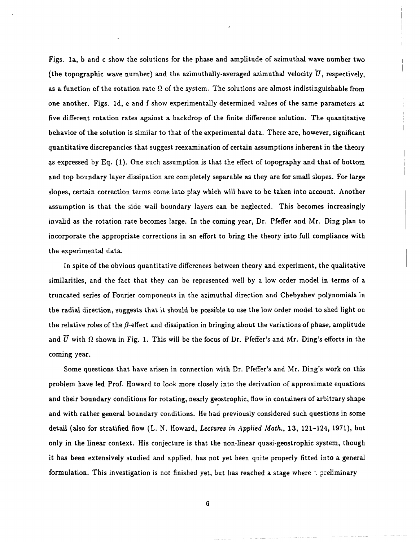Figs. la, b and c show the solutions for the phase and amplitude of azimuthal wave number two (the topographic wave number) and the azimuthally-averaged azimuthal velocity  $\overline{U}$ , respectively, as a function of the rotation rate **Q** of the system. The solutions are almost indistinguishable from one another. Figs. **id,** e and f show experimentally determined values of the same parameters at five different rotation rates against a backdrop of the finite difference solution. The quantitative behavior of the solution is similar to that of the experimental data. There are, however, significant quantitative discrepancies that suggest reexamination of certain assumptions inherent in the theory as expressed by Eq. (1). One such assumption is that the effect of topography and that of bottom and top boundary layer dissipation are completely separable as they are for small slopes. For large slopes, certain correction terms come into play which will have to be taken into account. Another assumption is that the side wall boundary layers can be neglected. This becomes increasingly invalid as the rotation rate becomes large. In the coming year, Dr. Pfeffer and Mr. Ding plan to incorporate the appropriate corrections in an effort to bring the theory into full compliance with the experimental data.

In spite of the obvious quantitative differences between theory and experiment, the qualitative similarities, and the fact that they can be represented well by a low order model in terms of a truncated series of Fourier components in the azimuthal direction and Chebyshev polynomials in the radial direction, suggests that it should be possible to use the low order model to shed light on the relative roles of the  $\beta$ -effect and dissipation in bringing about the variations of phase, amplitude and  $\overline{U}$  with  $\Omega$  shown in Fig. 1. This will be the focus of Dr. Pfeffer's and Mr. Ding's efforts in the coming year.

Some questions that have arisen in connection with Dr. Pfeffer's and Mr. Ding's work on this problem have led Prof. Howard to look more closely into the derivation of approximate equations and their boundary conditions for rotating, nearly geostrophic, flow in containers of arbitrary shape and with rather general boundary conditions. He had previously considered such questions in some detail (also for stratified flow (L. N. Howard, *Lectures* in *Applied Math.,* 13, 121-124, 1971), but only in the linear context. His conjecture is that the non-linear quasi-geostrophic system, though it has been extensively studied and applied, has not yet been quite properly fitted into a general formulation. This investigation is not finished yet, but has reached a stage where  $\gamma$  preliminary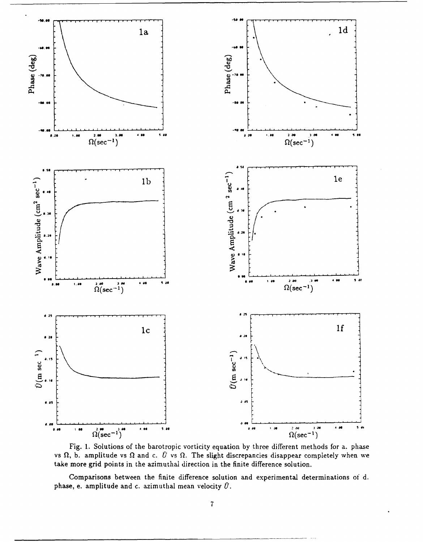

Fig. 1. Solutions of the barotropic vorticity equation by three different methods for a. phase vs  $\Omega$ , b. amplitude vs  $\Omega$  and c.  $\tilde{U}$  vs  $\Omega$ . The slight discrepancies disappear completely when we take more grid points in the azimuthal direction in the finite difference solution.

Comparisons between the finite difference solution and experimental determinations of d. phase, e. amplitude and c. azimuthal mean velocity  $\bar{U}$ .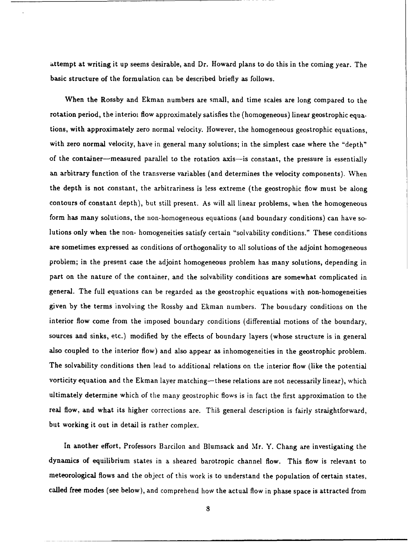attempt at writing it up seems desirable, and Dr. Howard plans to do this in the coming year. The basic structure of the formulation can be described briefly as follows.

When the Rossby and Ekman numbers are small, and time scales are long compared to the rotation period, the interior flow approximately satisfies the (homogeneous) linear geostrophic equations, with approximately zero normal velocity. However, the homogeneous geostrophic equations, with zero normal velocity, have in general many solutions; in the simplest case where the "depth" of the container-measured parallel to the rotation axis- is constant, the pressure is essentially an arbitrary function of the transverse variables (and determines the velocity components). When the depth is not constant, the arbitrariness is less extreme (the geostrophic flow must be along contours of constant depth), but still present. As will all linear problems, when the homogeneous form has many solutions, the non-homogeneous equations (and boundary conditions) can have solutions only when the non- homogeneities satisfy certain "solvability conditions." These conditions are sometimes expressed as conditions of orthogonality to all solutions of the adjoint homogeneous problem; in the present case the adjoint homogeneous problem has many solutions, depending in part on the nature of the container, and the solvability conditions are somewhat complicated in general. The full equations can be regarded as the geostrophic equations with non-homogeneities given **by** the terms involving the Rossby and Ekman numbers. The boundary conditions on the interior flow come from the imposed boundary conditions (differential motions of the boundary, sources and sinks, etc.) modified **by** the effects of boundary layers (whose structure is in general also coupled to the interior flow) and also appear as inhomogeneities in the geostrophic problem. The solvability conditions then lead to additional relations on the interior flow (like the potential vorticity equation and the Ekman layer matching-these relations are not necessarily linear), which ultimately determine which of the many geostrophic flows is in fact the first approximation to the real flow, and what its higher corrections are. This general description is fairly straightforward, but working it out in detail is rather complex.

In another effort, Professors Barcilon and Blumsack and Mr. Y. Chang are investigating the dynamics of equilibrium states in a sheared barotropic channel flow. This flow is relevant to meteorological flows and the object of this work is to understand the population of certain states, called free modes (see below), and comprehend **how** the actual flow in phase space is attracted from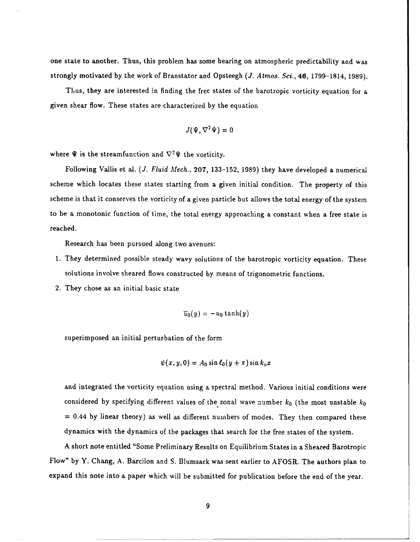one state to another. Thus, this problem has some bearing on atmospheric predictability and was strongly motivated by the work of Branstator and Opsteegh (J. *Atmos. Sci.,* 46, 1799-1814, 1989).

Thus, they are interested in finding the free states of the barotropic vorticity equation for a given shear flow. These states are characterized by the equation

$$
J(\Psi,\nabla^2\Psi)=0
$$

where  $\Psi$  is the streamfunction and  $\nabla^2 \Psi$  the vorticity.

Following Vallis et al. *(J. Fluid Mech.,* 207, 133-152, 1989) they have developed a numerical scheme which locates these states starting from a given initial condition. The property of this scheme is that it conserves the vorticity of a given particle but allows the total energy of the system to be a monotonic function of time, the total energy approaching a constant when a free state is reached.

Research has been pursued along two avenues:

- 1. They determined possible steady wavy solutions of the barotropic vorticity equation. These solutions involve sheared flows constructed by means of trigonometric functions.
- 2. They chose as an initial basic state

$$
\overline{u}_0(y)=-u_0\tanh(y)
$$

superimposed an initial perturbation of the form

$$
\psi(x,y,0)=A_0\sin\ell_0(y+\pi)\sin k_o x
$$

and integrated the vorticity equation using a spectral method. Various initial conditions were considered by specifying different values of the zonal wave number *k0* (the most unstable *k0 =* 0.44 by linear theory) as well as different numbers of modes. They then compared these dynamics with the dynamics of the packages that search for the free states of the system.

A short note entitled "Some Preliminary Results on Equilibrium States in a Sheared Barotropic Flow" by Y. Chang, A. Barcilon and S. Blumsack was sent earlier to AFOSR. The authors plan to expand this note into a paper which will be submitted for publication before the end of the year.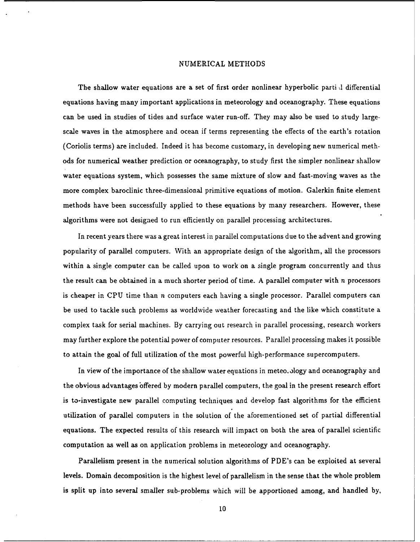#### NUMERICAL METHODS

The shallow water equations are a set of first order nonlinear hyperbolic parti **d** differential equations having many important applications in meteorology and oceanography. These equations can be used in studies of tides and surface water run-off. They may also be used to study largescale waves in the atmosphere and ocean if terms representing the effects of the earth's rotation (Coriolis terms) are included. Indeed it has become customary, in developing new numerical methods for numerical weather prediction or oceanography, to study first the simpler nonlinear shallow water equations system, which possesses the same mixture of slow and fast-moving waves as the more complex baroclinic three-dimensional primitive equations of motion. Galerkin finite element methods have been successfully applied to these equations by many researchers. However, these algorithms were not designed to run efficiently on parallel processing architectures.

In recent years there was a great interest in parallel computations due to the advent and growing popularity of parallel computers. With an appropriate design of the algorithm, all the processors within a single computer can be called upon to work on a single program concurrently and thus the result can be obtained in a much shorter period of time. A parallel computer with *n* processors is cheaper in CPU time than *n* computers each having a single processor. Parallel computers can be used to tackle such problems as worldwide weather forecasting and the like which constitute a complex task for serial machines. By carrying out research in parallel processing, research workers may further explore the potential power of computer resources. Parallel processing makes it possible to attain the goal of full utilization of the most powerful high-performance supercomputers.

In view of the importance of the shallow water equations in meteo. Jogy and oceanography and the obvious advantages offered by modern parallel computers, the goal in the present research effort is to-investigate new parallel computing techniques and develop fast algorithms for the efficient utilization of parallel computers in the solution of the aforementioned set of partial differential equations. The expected results of this research will impact on both the area of parallel scientific computation as well as on application problems in meteorology and oceanography.

Parallelism present in the numerical solution algorithms of PDE's can be exploited at several levels. Domain decomposition is the highest level of parallelism in the sense that the whole problem is split up into several smaller sub-problems which will be apportioned among, and handled by,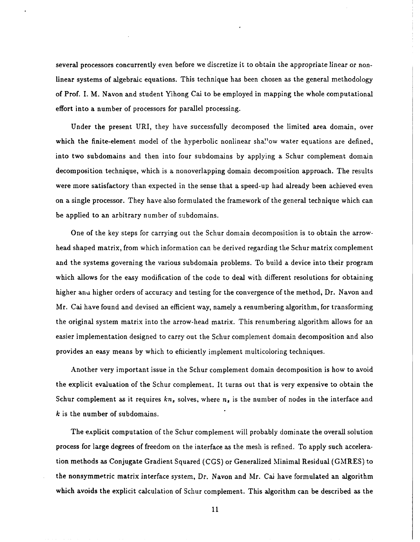several processors concurrently even before we discretize it to obtain the appropriate linear or nonlinear systems of algebraic equations. This technique has been chosen as the general methodology of Prof. I. M. Navon and student Yihong Cai to be employed in mapping the whole computational effort into a number of processors for parallel processing.

Under the present URI, they have successfully decomposed the limited area domain, over which the finite-element model of the hyperbolic nonlinear sha!'ow water equations are defined, into two subdomains and then into four subdomains by applying a Schur complement domain decomposition technique, which is a nonoverlapping domain decomposition approach. The results were more satisfactory than expected in the sense that a speed-up had already been achieved even on a single processor. They have also formulated the framework of the general technique which can be applied to an arbitrary number of subdomains.

One of the key steps for carrying out the Schur domain decomposition is to obtain the arrowhead shaped matrix, from which information can be derived regarding the Schur matrix complement and the systems governing the various subdomain problems. To build a device into their program which allows for the easy modification of the code to deal with different resolutions for obtaining higher anu higher orders of accuracy and testing for the convergence of the method, Dr. Navon and Mr. Cai have found and devised an efficient way, namely a renumbering algorithm, for transforming the original system matrix into the arrow-head matrix. This renumbering algorithm allows for an easier implementation designed to carry out the Schur complement domain decomposition and also provides an easy means by which to efficiently implement multicoloring techniques.

Another very important issue in the Schur complement domain decomposition is how to avoid the explicit evaluation of the Schur complement. It turns out that is very expensive to obtain the Schur complement as it requires *kn,* solves, where *n,* is the number of nodes in the interface and *k* is the number of subdomains.

The explicit computation of the Schur complement will probably dominate the overall solution process for large degrees of freedom on the interface as the mesh is refined. To apply such acceleration methods as Conjugate Gradient Squared (CGS) or Generalized Minimal Residual (GMRES) to the nonsymmetric matrix interface system, Dr. Navon and Mr. Cai have formulated an algorithm which avoids the explicit calculation of Schur complement. This algorithm can be described as the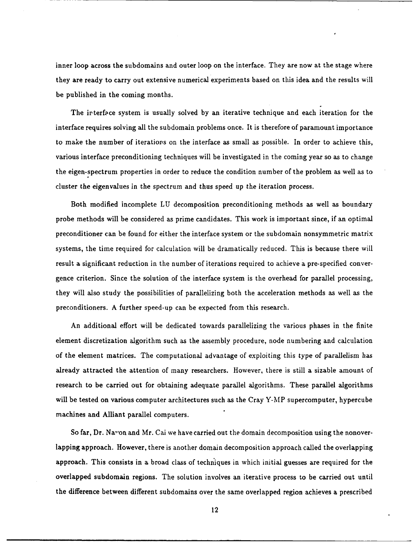inner loop across the subdomains and outer loop on the interface. They are now at the stage where they are ready to carry out extensive numerical experiments based on this idea and the results will be published in the coming months.

The irterface system is usually solved by an iterative technique and each iteration for the interface requires solving all the subdomain problems once. It is therefore of paramount importance to make the number of iterations on the interface as small as possible. In order to achieve this, various interface preconditioning techniques will be investigated in the coming year so as to change the eigen-spectrum properties in order to reduce the condition number of the problem as well as to cluster the eigenvalues in the spectrum and thus speed up the iteration process.

Both modified incomplete LU decomposition preconditioning methods as well as boundary probe methods will be considered as prime candidates. This work is important since, if an optimal preconditioner can be found for either the interface system or the subdomain nonsymmetric matrix systems, the time required for calculation will be dramatically reduced. This is because there will result a significant reduction in the number of iterations required to achieve a pre-specified convergence criterion. Since the solution of the interface system is the overhead for parallel processing, they will also study the possibilities of parallelizing both the acceleration methods as well as the preconditioners. A further speed-up can be expected from this research.

An additional effort will be dedicated towards parallelizing the various phases in the finite element discretization algorithm such as the assembly procedure, node numbering and calculation of the element matrices. The computational advantage of exploiting this type of parallelism has already attracted the attention of many researchers. However, there is still a sizable amount of research to be carried out for obtaining adequate parallel algorithms. These parallel algorithms will be tested on various computer architectures such as the Cray Y-MP supercomputer, hypercube machines and Alliant parallel computers.

So far, Dr. Na'on and Mr. Cai we have carried out the domain decomposition using the nonoverlapping approach. However, there is another domain decomposition approach called the overlapping approach. This consists in a broad class of techniques in which initial guesses are required for the overlapped subdomain regions. The solution involves an iterative process to be carried out until the difference between different subdomains over the same overlapped region achieves a prescribed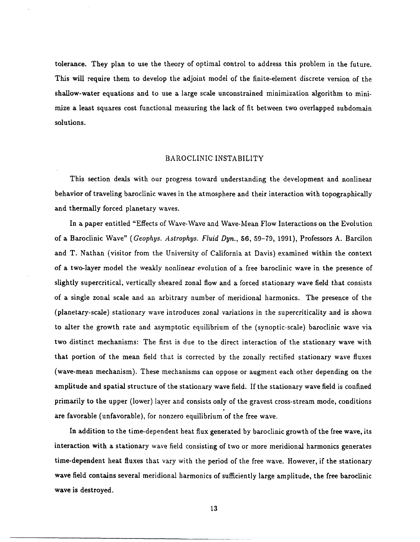tolerance. They plan to use the theory of optimal control to address this problem in the future. This will require them to develop the adjoint model of the finite-element discrete version of the shallow-water equations and to use a large scale unconstrained minimization algorithm to minimize a least squares cost functional measuring the lack of fit between two overlapped subdomain solutions.

### BAROCLINIC INSTABILITY

This section deals with our progress toward understanding the development and nonlinear behavior of traveling baroclinic waves in the atmosphere and their interaction with topographically and thermally forced planetary waves.

In a paper entitled "Effects of Wave-Wave and Wave-Mean Flow Interactions on the Evolution of a Baroclinic Wave" *(Geophys. Astrophys. Fluid Dyn.,* **56,** 59-79, 1991), Professors A. Barcilon and T. Nathan (visitor from the University of California at Davis) examined within the context of a two-layer model the weakly nonlinear evolution of a free baroclinic wave in the presence of slightly supercritical, vertically sheared zonal flow and a forced stationary wave field that consists of a single zonal scale and an arbitrary number of meridional harmonics. The presence of the (planetary-scale) stationary wave introduces zonal variations in the supercriticality and is shown to alter the growth rate and asymptotic equilibrium of the (synoptic-scale) baroclinic wave via two distinct mechanisms: The first is due to the direct interaction of the stationary wave with that portion of the mean field that is corrected by the zonally rectified stationary wave fluxes (wave-mean mechanism). These mechanisms can oppose or augment each other depending on the amplitude and spatial structure of the stationary wave field. If the stationary wave field is confined primarily to the upper (lower) layer and consists only of the gravest cross-stream mode, conditions are favorable (unfavorable), for nonzero equilibrium of the free wave.

In addition to the time-dependent heat flux generated by baroclinic growth of the free wave, its interaction with a stationary wave field consisting of two or more meridional harmonics generates time-dependent heat fluxes that vary with the period of the free wave. However, if the stationary wave field contains several meridional harmonics of sufficiently large amplitude, the free baroclinic wave is destroyed.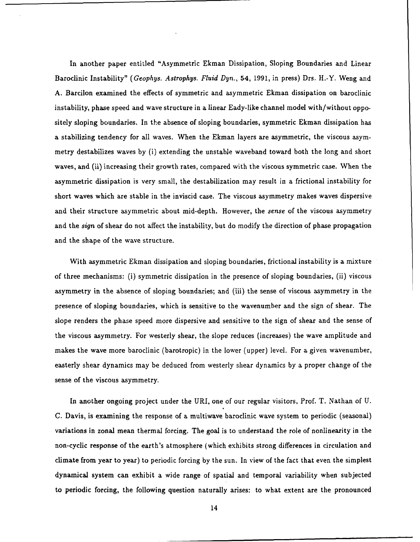In another paper entitled "Asymmetric Ekman Dissipation, Sloping Boundaries and Linear Baroclinic Instability" *(Geophys. Astrophys. Fluid Dyn.,* 54, 1991, in press) Drs. H.-Y. Weng and A. Barcilon examined the effects of symmetric and asymmetric Ekman dissipation on baroclinic instability, phase speed and wave structure in a linear Eady-like channel model with/without oppositely sloping boundaries. In the absence of sloping boundaries, symmetric Ekman dissipation has a stabilizing tendency for all waves. When the Ekman layers are asymmetric, the viscous asymmetry destabilizes waves by (i) extending the unstable waveband toward both the long and short waves, and (ii) increasing their growth rates, compared with the viscous symmetric case. When the asymmetric dissipation is very small, the destabilization may result in a frictional instability for short waves which are stable in the inviscid case. The viscous asymmetry makes waves dispersive and their structure asymmetric about mid-depth. However, the *sense* of the viscous asymmetry and the *sign* of shear do not affect the instability, but do modify the direction of phase propagation and the shape of the wave structure.

With asymmetric Ekman dissipation and sloping boundaries, frictional instability is a mixture of three mechanisms: (i) symmetric dissipation in the presence of sloping boundaries, (ii) viscous asymmetry in the absence of sloping boundaries; and (iii) the sense of viscous asymmetry in the presence of sloping boundaries, which is sensitive to the wavenumber and the sign of shear. The slope renders the phase speed more dispersive and sensitive to the sign of shear and the sense of the viscous asymmetry. For westerly shear, the slope reduces (increases) the wave amplitude and makes the wave more baroclinic (barotropic) in the lower (upper) level. For a given wavenumber, easterly shear dynamics may be deduced from westerly shear dynamics by a proper change of the sense of the viscous asymmetry.

In another ongoing project under the URI, one of our regular visitors, Prof. T. Nathan of U. C. Davis, is examining the response of a multiwave baroclinic wave system to periodic (seasonal) variations in zonal mean thermal forcing. The goal is to understand the role of nonlinearity in the non-cyclic response of the earth's atmosphere (which exhibits strong differences in circulation and climate from year to year) to periodic forcing by the sun. In view of the fact that even the simplest dynamical system can exhibit a wide range of spatial and temporal variability when subjected to periodic forcing, the following question naturally arises: to what extent are the pronounced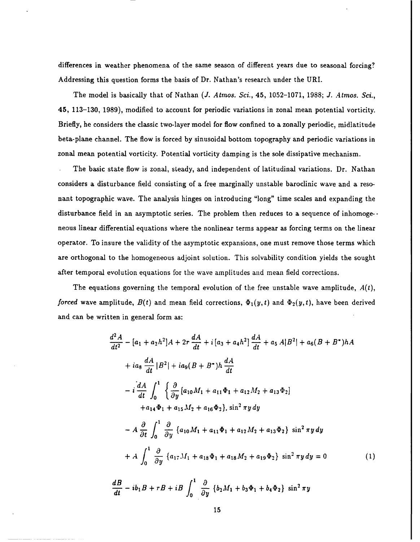differences in weather phenomena of the same season of different years due to seasonal forcing? Addressing this question forms the basis of Dr. Nathan's research under the URI.

The model is basically that of Nathan *(J. Atmos. Sci.,* 45, 1052-1071, 1988; *J. Atmos. Sci.,* 45, 113-130, 1989), modified to account for periodic variations in zonal mean potential vorticity. Briefly, he considers the classic two-layer model for flow confined to a zonally periodic, midlatitude beta-plane channel. The flow is forced by sinusoidal bottom topography and periodic variations in zonal mean potential vorticity. Potential vorticity damping is the sole dissipative mechanism.

The basic state flow is zonal, steady, and independent of latitudinal variations. Dr. Nathan considers a disturbance field consisting of a free marginally unstable baroclinic wave and a resonant topographic wave. The analysis hinges on introducing "long" time scales and expanding the disturbance field in an asymptotic series. The problem then reduces to a sequence of inhomoge- neous linear differential equations where the nonlinear terms appear as forcing terms on the linear operator. To insure the validity of the asymptotic expansions, one must remove those terms which are orthogonal to the homogeneous adjoint solution. This solvability condition yields the sought after temporal evolution equations for the wave amplitudes and mean field corrections.

The equations governing the temporal evolution of the free unstable wave amplitude, *A(t), forced* wave amplitude,  $B(t)$  and mean field corrections,  $\Phi_1(y, t)$  and  $\Phi_2(y, t)$ , have been derived and can be written in general form as:

$$
\frac{d^2A}{dt^2} - [a_1 + a_2h^2]A + 2r \frac{dA}{dt} + i[a_3 + a_4h^2] \frac{dA}{dt} + a_5 A|B^2| + a_6(B + B^*)hA
$$
  
+  $ia_8 \frac{dA}{dt} |B^2| + ia_9(B + B^*)h \frac{dA}{dt}$   
-  $i \frac{dA}{dt} \int_0^1 \left\{ \frac{\partial}{\partial y} [a_{10}M_1 + a_{11}\Phi_1 + a_{12}M_2 + a_{13}\Phi_2] + a_{14}\Phi_1 + a_{15}M_2 + a_{16}\Phi_2\right\} \sin^2 \pi y \, dy$   
-  $A \frac{\partial}{\partial t} \int_0^1 \frac{\partial}{\partial y} \{a_{10}M_1 + a_{11}\Phi_1 + a_{12}M_2 + a_{13}\Phi_2\} \sin^2 \pi y \, dy$   
+  $A \int_0^1 \frac{\partial}{\partial y} \{a_{17}M_1 + a_{18}\Phi_1 + a_{18}M_2 + a_{19}\Phi_2\} \sin^2 \pi y \, dy = 0$  (1)

$$
\frac{dB}{dt} - ib_1B + rB + iB \int_0^1 \frac{\partial}{\partial y} \left\{b_2M_1 + b_3\Phi_1 + b_4\Phi_2\right\} \sin^2 \pi y
$$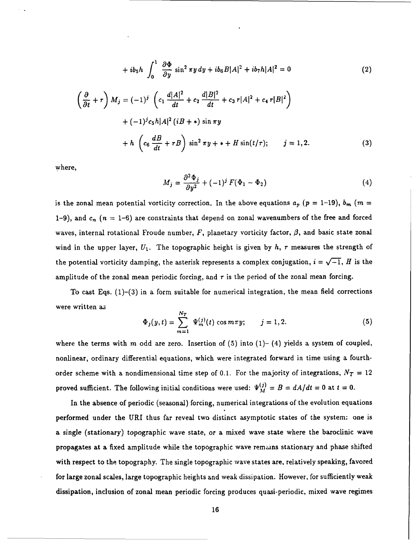$$
+ ib_5h \int_0^1 \frac{\partial \Phi}{\partial y} \sin^2 \pi y \, dy + ib_6B|A|^2 + ib_7h|A|^2 = 0 \tag{2}
$$

$$
\left(\frac{\partial}{\partial t} + r\right) M_j = (-1)^j \left( c_1 \frac{d|A|^2}{dt} + c_2 \frac{d|B|^2}{dt} + c_3 r|A|^2 + c_4 r|B|^2 \right)
$$
  
+  $(-1)^j c_5 h|A|^2 (iB + \ast) \sin \pi y$   
+  $h \left( c_6 \frac{dB}{dt} + rB \right) \sin^2 \pi y + \ast + H \sin(t/\tau); \qquad j = 1, 2.$  (3)

where,

$$
M_j = \frac{\partial^2 \Phi_j}{\partial y^2} + (-1)^j F(\Phi_1 - \Phi_2)
$$
 (4)

is the zonal mean potential vorticity correction. In the above equations  $a_p$  ( $p = 1-19$ ),  $b_m$  ( $m =$ 1-9), and  $c_n$  ( $n = 1-6$ ) are constraints that depend on zonal wavenumbers of the free and forced waves, internal rotational Froude number,  $F$ , planetary vorticity factor,  $\beta$ , and basic state zonal wind in the upper layer, *U1.* The topographic height is given **by** *h,* r measures the strength of the potential vorticity damping, the asterisk represents a complex conjugation,  $i = \sqrt{-1}$ , *H* is the amplitude of the zonal mean periodic forcing, and  $\tau$  is the period of the zonal mean forcing.

To cast Eqs. (1)-(3) in a form suitable for numerical integration, the mean field corrections were written as

$$
\Phi_j(y,t) = \sum_{m=1}^{N_T} \Psi_m^{(j)}(t) \cos m \pi y; \qquad j = 1, 2.
$$
 (5)

where the terms with *m* odd are zero. Insertion of  $(5)$  into  $(1)$ –  $(4)$  yields a system of coupled, nonlinear, ordinary differential equations, which were integrated forward in time using a fourthorder scheme with a nondimensional time step of 0.1. For the majority of integrations,  $N_T = 12$ proved sufficient. The following initial conditions were used:  $\Psi_M^{(j)} = B = dA/dt = 0$  at  $t = 0$ .

In the absence of periodic (seasonal) forcing, numerical integrations of the evolution equations performed under the URI thus far reveal two distinct asymptotic states of the system: one is a single (stationary) topographic wave state, or a mixed wave state where the baroclinic wave propagates at a fixed amplitude while the topographic wave remans stationary and phase shifted with respect to the topography. The single topographic wave states are, relatively speaking, favored for large zonal scales, large topographic heights and weak dissipation. However, for sufficiently weak dissipation, inclusion of zonal mean periodic forcing produces quasi-periodic, mixed wave regimes